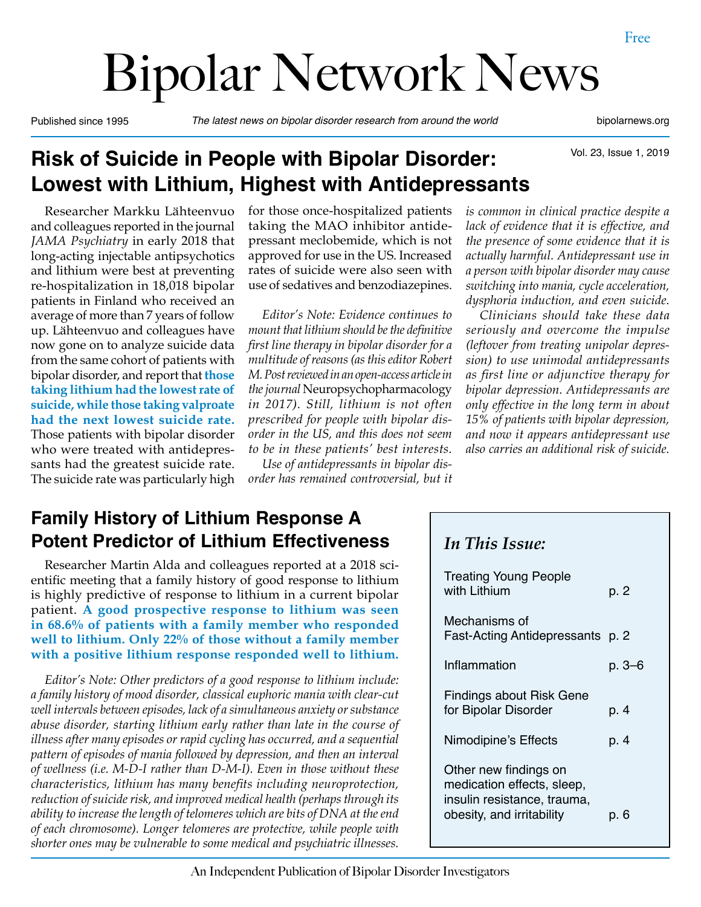# Bipolar Network News

Published since 1995 *The latest news on bipolar disorder research from around the world* bipolarnews.org

Vol. 23, Issue 1, 2019

# **Risk of Suicide in People with Bipolar Disorder: Lowest with Lithium, Highest with Antidepressants**

Researcher Markku Lähteenvuo and colleagues reported in the journal *JAMA Psychiatry* in early 2018 that long-acting injectable antipsychotics and lithium were best at preventing re-hospitalization in 18,018 bipolar patients in Finland who received an average of more than 7 years of follow up. Lähteenvuo and colleagues have now gone on to analyze suicide data from the same cohort of patients with bipolar disorder, and report that **those taking lithium had the lowest rate of suicide, while those taking valproate had the next lowest suicide rate.**  Those patients with bipolar disorder who were treated with antidepressants had the greatest suicide rate. The suicide rate was particularly high for those once-hospitalized patients taking the MAO inhibitor antidepressant meclobemide, which is not approved for use in the US. Increased rates of suicide were also seen with use of sedatives and benzodiazepines.

*Editor's Note: Evidence continues to mount that lithium should be the definitive first line therapy in bipolar disorder for a multitude of reasons (as this editor Robert M. Post reviewed in an open-access article in the journal* Neuropsychopharmacology *in 2017). Still, lithium is not often prescribed for people with bipolar disorder in the US, and this does not seem to be in these patients' best interests.*

*Use of antidepressants in bipolar disorder has remained controversial, but it*  *is common in clinical practice despite a lack of evidence that it is effective, and the presence of some evidence that it is actually harmful. Antidepressant use in a person with bipolar disorder may cause switching into mania, cycle acceleration, dysphoria induction, and even suicide.*

*Clinicians should take these data seriously and overcome the impulse (leftover from treating unipolar depression) to use unimodal antidepressants as first line or adjunctive therapy for bipolar depression. Antidepressants are only effective in the long term in about 15% of patients with bipolar depression, and now it appears antidepressant use also carries an additional risk of suicide.*

# **Family History of Lithium Response A Potent Predictor of Lithium Effectiveness**

Researcher Martin Alda and colleagues reported at a 2018 scientific meeting that a family history of good response to lithium is highly predictive of response to lithium in a current bipolar patient. **A good prospective response to lithium was seen in 68.6% of patients with a family member who responded well to lithium. Only 22% of those without a family member with a positive lithium response responded well to lithium.**

*Editor's Note: Other predictors of a good response to lithium include: a family history of mood disorder, classical euphoric mania with clear-cut well intervals between episodes, lack of a simultaneous anxiety or substance abuse disorder, starting lithium early rather than late in the course of illness after many episodes or rapid cycling has occurred, and a sequential pattern of episodes of mania followed by depression, and then an interval of wellness (i.e. M-D-I rather than D-M-I). Even in those without these characteristics, lithium has many benefits including neuroprotection, reduction of suicide risk, and improved medical health (perhaps through its ability to increase the length of telomeres which are bits of DNA at the end of each chromosome). Longer telomeres are protective, while people with shorter ones may be vulnerable to some medical and psychiatric illnesses.*

#### *In This Issue:*

| <b>Treating Young People</b><br>with Lithium                                                                    | p. 2   |
|-----------------------------------------------------------------------------------------------------------------|--------|
| Mechanisms of<br>Fast-Acting Antidepressants p. 2                                                               |        |
| Inflammation                                                                                                    | р. 3–6 |
| Findings about Risk Gene<br>for Bipolar Disorder                                                                | p. 4   |
| Nimodipine's Effects                                                                                            | p. 4   |
| Other new findings on<br>medication effects, sleep,<br>insulin resistance, trauma,<br>obesity, and irritability | p. 6   |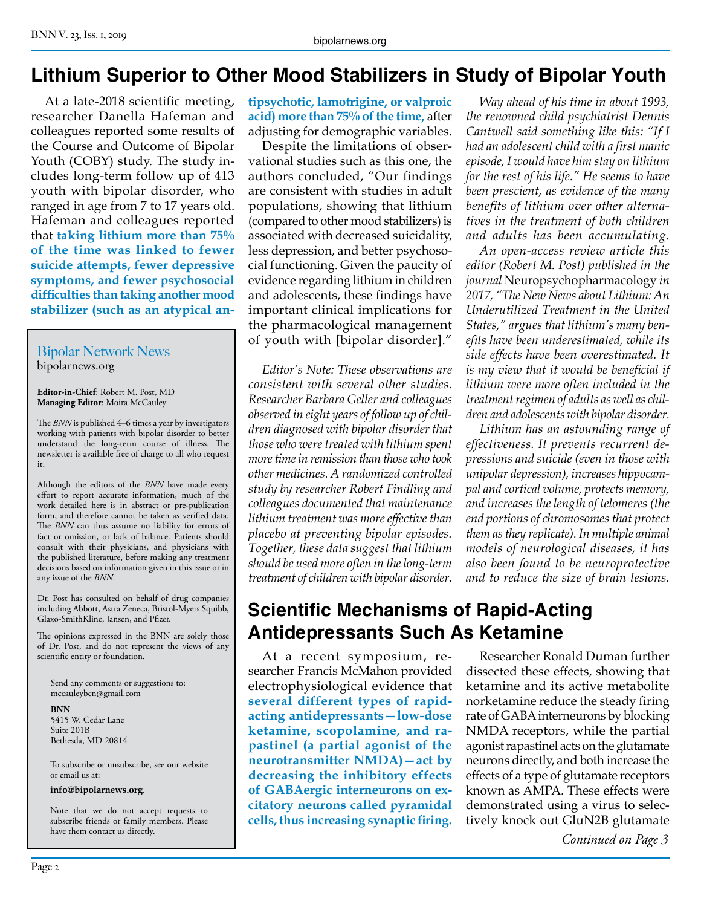## **Lithium Superior to Other Mood Stabilizers in Study of Bipolar Youth**

At a late-2018 scientific meeting, researcher Danella Hafeman and colleagues reported some results of the Course and Outcome of Bipolar Youth (COBY) study. The study includes long-term follow up of 413 youth with bipolar disorder, who ranged in age from 7 to 17 years old. Hafeman and colleagues reported that **taking lithium more than 75% of the time was linked to fewer suicide attempts, fewer depressive symptoms, and fewer psychosocial difficulties than taking another mood stabilizer (such as an atypical an-**

#### Bipolar Network News bipolarnews.org

**Editor-in-Chief**: Robert M. Post, MD **Managing Editor**: Moira McCauley

The *BNN* is published 4–6 times a year by investigators working with patients with bipolar disorder to better understand the long-term course of illness. The newsletter is available free of charge to all who request it.

Although the editors of the *BNN* have made every effort to report accurate information, much of the work detailed here is in abstract or pre-publication form, and therefore cannot be taken as verified data. The *BNN* can thus assume no liability for errors of fact or omission, or lack of balance. Patients should consult with their physicians, and physicians with the published literature, before making any treatment decisions based on information given in this issue or in any issue of the *BNN*.

Dr. Post has consulted on behalf of drug companies including Abbott, Astra Zeneca, Bristol-Myers Squibb, Glaxo-SmithKline, Jansen, and Pfizer.

The opinions expressed in the BNN are solely those of Dr. Post, and do not represent the views of any scientific entity or foundation.

Send any comments or suggestions to: mccauleybcn@gmail.com

**BNN**

5415 W. Cedar Lane Suite 201B Bethesda, MD 20814

To subscribe or unsubscribe, see our website or email us at:

**info@bipolarnews.org**.

Note that we do not accept requests to subscribe friends or family members. Please have them contact us directly.

**tipsychotic, lamotrigine, or valproic acid) more than 75% of the time,** after adjusting for demographic variables.

Despite the limitations of observational studies such as this one, the authors concluded, "Our findings are consistent with studies in adult populations, showing that lithium (compared to other mood stabilizers) is associated with decreased suicidality, less depression, and better psychosocial functioning. Given the paucity of evidence regarding lithium in children and adolescents, these findings have important clinical implications for the pharmacological management of youth with [bipolar disorder]."

*Editor's Note: These observations are consistent with several other studies. Researcher Barbara Geller and colleagues observed in eight years of follow up of children diagnosed with bipolar disorder that those who were treated with lithium spent more time in remission than those who took other medicines. A randomized controlled study by researcher Robert Findling and colleagues documented that maintenance lithium treatment was more effective than placebo at preventing bipolar episodes. Together, these data suggest that lithium should be used more often in the long-term treatment of children with bipolar disorder.*

*Way ahead of his time in about 1993, the renowned child psychiatrist Dennis Cantwell said something like this: "If I had an adolescent child with a first manic episode, I would have him stay on lithium for the rest of his life." He seems to have been prescient, as evidence of the many benefits of lithium over other alternatives in the treatment of both children and adults has been accumulating.*

*An open-access review article this editor (Robert M. Post) published in the journal* Neuropsychopharmacology *in 2017, "The New News about Lithium: An Underutilized Treatment in the United States," argues that lithium's many benefits have been underestimated, while its side effects have been overestimated. It is my view that it would be beneficial if lithium were more often included in the treatment regimen of adults as well as children and adolescents with bipolar disorder.*

*Lithium has an astounding range of effectiveness. It prevents recurrent depressions and suicide (even in those with unipolar depression), increases hippocampal and cortical volume, protects memory, and increases the length of telomeres (the end portions of chromosomes that protect them as they replicate). In multiple animal models of neurological diseases, it has also been found to be neuroprotective and to reduce the size of brain lesions.*

## **Scientific Mechanisms of Rapid-Acting Antidepressants Such As Ketamine**

At a recent symposium, researcher Francis McMahon provided electrophysiological evidence that **several different types of rapidacting antidepressants—low-dose ketamine, scopolamine, and rapastinel (a partial agonist of the neurotransmitter NMDA)—act by decreasing the inhibitory effects of GABAergic interneurons on excitatory neurons called pyramidal cells, thus increasing synaptic firing.**

Researcher Ronald Duman further dissected these effects, showing that ketamine and its active metabolite norketamine reduce the steady firing rate of GABA interneurons by blocking NMDA receptors, while the partial agonist rapastinel acts on the glutamate neurons directly, and both increase the effects of a type of glutamate receptors known as AMPA. These effects were demonstrated using a virus to selectively knock out GluN2B glutamate

*Continued on Page 3*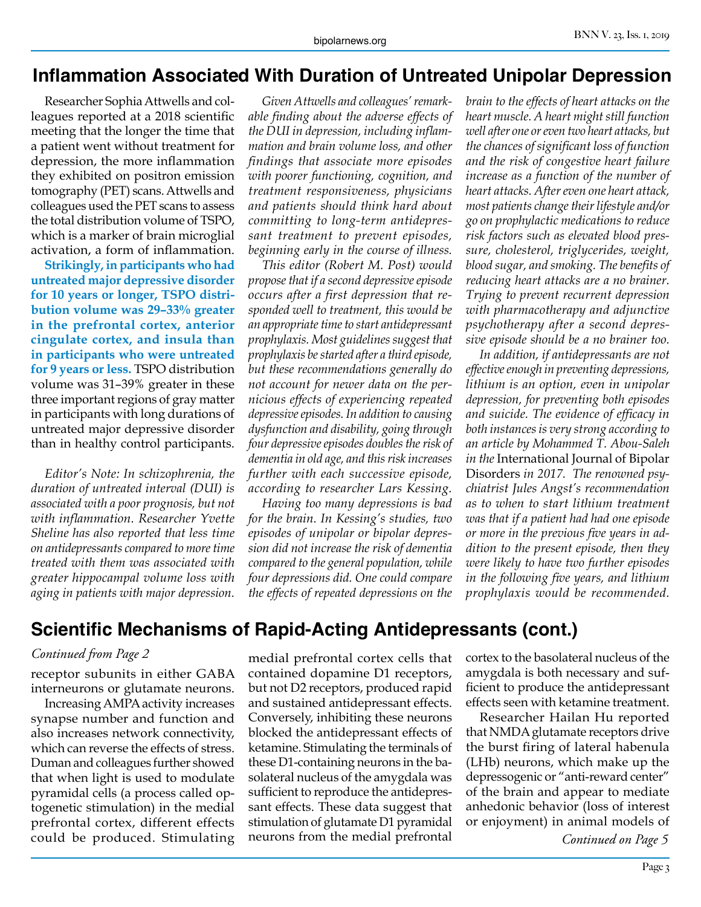#### **Inflammation Associated With Duration of Untreated Unipolar Depression**

Researcher Sophia Attwells and colleagues reported at a 2018 scientific meeting that the longer the time that a patient went without treatment for depression, the more inflammation they exhibited on positron emission tomography (PET) scans. Attwells and colleagues used the PET scans to assess the total distribution volume of TSPO, which is a marker of brain microglial activation, a form of inflammation.

**Strikingly, in participants who had untreated major depressive disorder for 10 years or longer, TSPO distribution volume was 29–33% greater in the prefrontal cortex, anterior cingulate cortex, and insula than in participants who were untreated for 9 years or less.** TSPO distribution volume was 31–39% greater in these three important regions of gray matter in participants with long durations of untreated major depressive disorder than in healthy control participants.

*Editor's Note: In schizophrenia, the duration of untreated interval (DUI) is associated with a poor prognosis, but not with inflammation. Researcher Yvette Sheline has also reported that less time on antidepressants compared to more time treated with them was associated with greater hippocampal volume loss with aging in patients with major depression.*

*Given Attwells and colleagues' remarkable finding about the adverse effects of the DUI in depression, including inflammation and brain volume loss, and other findings that associate more episodes with poorer functioning, cognition, and treatment responsiveness, physicians and patients should think hard about committing to long-term antidepressant treatment to prevent episodes, beginning early in the course of illness.*

*This editor (Robert M. Post) would propose that if a second depressive episode occurs after a first depression that responded well to treatment, this would be an appropriate time to start antidepressant prophylaxis. Most guidelines suggest that prophylaxis be started after a third episode, but these recommendations generally do not account for newer data on the pernicious effects of experiencing repeated depressive episodes. In addition to causing dysfunction and disability, going through four depressive episodes doubles the risk of dementia in old age, and this risk increases further with each successive episode, according to researcher Lars Kessing.*

*Having too many depressions is bad for the brain. In Kessing's studies, two episodes of unipolar or bipolar depression did not increase the risk of dementia compared to the general population, while four depressions did. One could compare the effects of repeated depressions on the* 

*brain to the effects of heart attacks on the heart muscle. A heart might still function well after one or even two heart attacks, but the chances of significant loss of function and the risk of congestive heart failure increase as a function of the number of heart attacks. After even one heart attack, most patients change their lifestyle and/or go on prophylactic medications to reduce risk factors such as elevated blood pressure, cholesterol, triglycerides, weight, blood sugar, and smoking. The benefits of reducing heart attacks are a no brainer. Trying to prevent recurrent depression with pharmacotherapy and adjunctive psychotherapy after a second depressive episode should be a no brainer too.*

*In addition, if antidepressants are not effective enough in preventing depressions, lithium is an option, even in unipolar depression, for preventing both episodes and suicide. The evidence of efficacy in both instances is very strong according to an article by Mohammed T. Abou-Saleh in the* International Journal of Bipolar Disorders *in 2017. The renowned psychiatrist Jules Angst's recommendation as to when to start lithium treatment was that if a patient had had one episode or more in the previous five years in addition to the present episode, then they were likely to have two further episodes in the following five years, and lithium prophylaxis would be recommended.*

### **Scientific Mechanisms of Rapid-Acting Antidepressants (cont.)**

#### *Continued from Page 2*

receptor subunits in either GABA interneurons or glutamate neurons.

Increasing AMPA activity increases synapse number and function and also increases network connectivity, which can reverse the effects of stress. Duman and colleagues further showed that when light is used to modulate pyramidal cells (a process called optogenetic stimulation) in the medial prefrontal cortex, different effects could be produced. Stimulating

medial prefrontal cortex cells that contained dopamine D1 receptors, but not D2 receptors, produced rapid and sustained antidepressant effects. Conversely, inhibiting these neurons blocked the antidepressant effects of ketamine. Stimulating the terminals of these D1-containing neurons in the basolateral nucleus of the amygdala was sufficient to reproduce the antidepressant effects. These data suggest that stimulation of glutamate D1 pyramidal neurons from the medial prefrontal

cortex to the basolateral nucleus of the amygdala is both necessary and sufficient to produce the antidepressant effects seen with ketamine treatment.

Researcher Hailan Hu reported that NMDA glutamate receptors drive the burst firing of lateral habenula (LHb) neurons, which make up the depressogenic or "anti-reward center" of the brain and appear to mediate anhedonic behavior (loss of interest or enjoyment) in animal models of

*Continued on Page 5*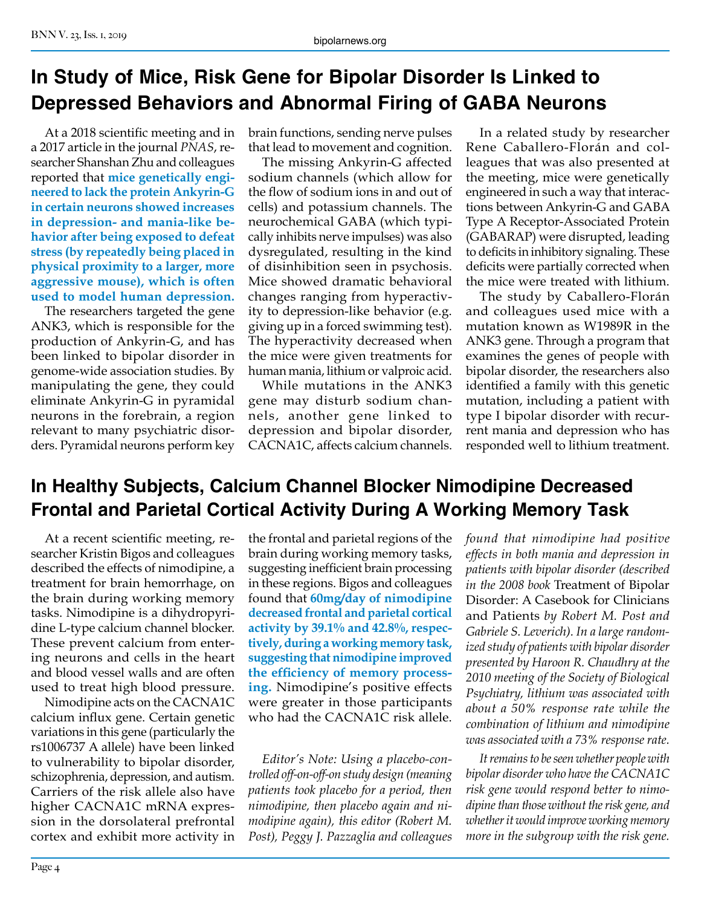# **In Study of Mice, Risk Gene for Bipolar Disorder Is Linked to Depressed Behaviors and Abnormal Firing of GABA Neurons**

At a 2018 scientific meeting and in a 2017 article in the journal *PNAS*, researcher Shanshan Zhu and colleagues reported that **mice genetically engineered to lack the protein Ankyrin-G in certain neurons showed increases in depression- and mania-like behavior after being exposed to defeat stress (by repeatedly being placed in physical proximity to a larger, more aggressive mouse), which is often used to model human depression.**

The researchers targeted the gene ANK3, which is responsible for the production of Ankyrin-G, and has been linked to bipolar disorder in genome-wide association studies. By manipulating the gene, they could eliminate Ankyrin-G in pyramidal neurons in the forebrain, a region relevant to many psychiatric disorders. Pyramidal neurons perform key brain functions, sending nerve pulses that lead to movement and cognition.

The missing Ankyrin-G affected sodium channels (which allow for the flow of sodium ions in and out of cells) and potassium channels. The neurochemical GABA (which typically inhibits nerve impulses) was also dysregulated, resulting in the kind of disinhibition seen in psychosis. Mice showed dramatic behavioral changes ranging from hyperactivity to depression-like behavior (e.g. giving up in a forced swimming test). The hyperactivity decreased when the mice were given treatments for human mania, lithium or valproic acid.

While mutations in the ANK3 gene may disturb sodium channels, another gene linked to depression and bipolar disorder, CACNA1C, affects calcium channels.

In a related study by researcher Rene Caballero-Florán and colleagues that was also presented at the meeting, mice were genetically engineered in such a way that interactions between Ankyrin-G and GABA Type A Receptor-Associated Protein (GABARAP) were disrupted, leading to deficits in inhibitory signaling. These deficits were partially corrected when the mice were treated with lithium.

The study by Caballero-Florán and colleagues used mice with a mutation known as W1989R in the ANK3 gene. Through a program that examines the genes of people with bipolar disorder, the researchers also identified a family with this genetic mutation, including a patient with type I bipolar disorder with recurrent mania and depression who has responded well to lithium treatment.

# **In Healthy Subjects, Calcium Channel Blocker Nimodipine Decreased Frontal and Parietal Cortical Activity During A Working Memory Task**

At a recent scientific meeting, researcher Kristin Bigos and colleagues described the effects of nimodipine, a treatment for brain hemorrhage, on the brain during working memory tasks. Nimodipine is a dihydropyridine L-type calcium channel blocker. These prevent calcium from entering neurons and cells in the heart and blood vessel walls and are often used to treat high blood pressure.

Nimodipine acts on the CACNA1C calcium influx gene. Certain genetic variations in this gene (particularly the rs1006737 A allele) have been linked to vulnerability to bipolar disorder, schizophrenia, depression, and autism. Carriers of the risk allele also have higher CACNA1C mRNA expression in the dorsolateral prefrontal cortex and exhibit more activity in the frontal and parietal regions of the brain during working memory tasks, suggesting inefficient brain processing in these regions. Bigos and colleagues found that **60mg/day of nimodipine decreased frontal and parietal cortical activity by 39.1% and 42.8%, respectively, during a working memory task, suggesting that nimodipine improved the efficiency of memory processing.** Nimodipine's positive effects were greater in those participants who had the CACNA1C risk allele.

*Editor's Note: Using a placebo-controlled off-on-off-on study design (meaning patients took placebo for a period, then nimodipine, then placebo again and nimodipine again), this editor (Robert M. Post), Peggy J. Pazzaglia and colleagues*  *found that nimodipine had positive effects in both mania and depression in patients with bipolar disorder (described in the 2008 book* Treatment of Bipolar Disorder: A Casebook for Clinicians and Patients *by Robert M. Post and Gabriele S. Leverich). In a large randomized study of patients with bipolar disorder presented by Haroon R. Chaudhry at the 2010 meeting of the Society of Biological Psychiatry, lithium was associated with about a 50% response rate while the combination of lithium and nimodipine was associated with a 73% response rate.*

*It remains to be seen whether people with bipolar disorder who have the CACNA1C risk gene would respond better to nimodipine than those without the risk gene, and whether it would improve working memory more in the subgroup with the risk gene.*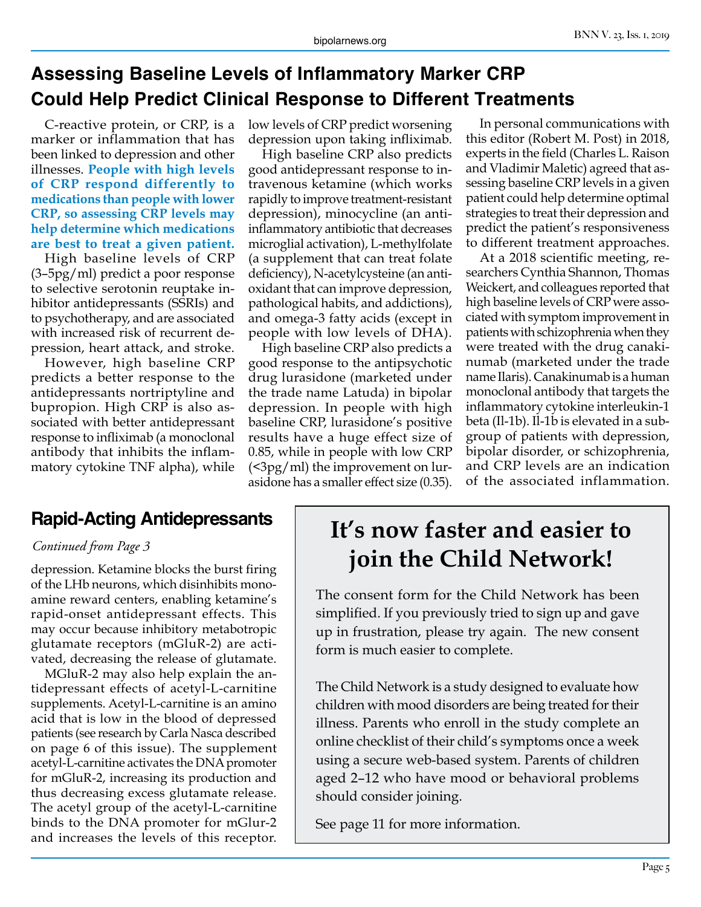# **Assessing Baseline Levels of Inflammatory Marker CRP Could Help Predict Clinical Response to Different Treatments**

C-reactive protein, or CRP, is a marker or inflammation that has been linked to depression and other illnesses. **People with high levels of CRP respond differently to medications than people with lower CRP, so assessing CRP levels may help determine which medications are best to treat a given patient.**

High baseline levels of CRP (3–5pg/ml) predict a poor response to selective serotonin reuptake inhibitor antidepressants (SSRIs) and to psychotherapy, and are associated with increased risk of recurrent depression, heart attack, and stroke.

However, high baseline CRP predicts a better response to the antidepressants nortriptyline and bupropion. High CRP is also associated with better antidepressant response to infliximab (a monoclonal antibody that inhibits the inflammatory cytokine TNF alpha), while low levels of CRP predict worsening depression upon taking infliximab.

High baseline CRP also predicts good antidepressant response to intravenous ketamine (which works rapidly to improve treatment-resistant depression), minocycline (an antiinflammatory antibiotic that decreases microglial activation), L-methylfolate (a supplement that can treat folate deficiency), N-acetylcysteine (an antioxidant that can improve depression, pathological habits, and addictions), and omega-3 fatty acids (except in people with low levels of DHA).

High baseline CRP also predicts a good response to the antipsychotic drug lurasidone (marketed under the trade name Latuda) in bipolar depression. In people with high baseline CRP, lurasidone's positive results have a huge effect size of 0.85, while in people with low CRP (<3pg/ml) the improvement on lurasidone has a smaller effect size (0.35).

In personal communications with this editor (Robert M. Post) in 2018, experts in the field (Charles L. Raison and Vladimir Maletic) agreed that assessing baseline CRP levels in a given patient could help determine optimal strategies to treat their depression and predict the patient's responsiveness to different treatment approaches.

At a 2018 scientific meeting, researchers Cynthia Shannon, Thomas Weickert, and colleagues reported that high baseline levels of CRP were associated with symptom improvement in patients with schizophrenia when they were treated with the drug canakinumab (marketed under the trade name Ilaris). Canakinumab is a human monoclonal antibody that targets the inflammatory cytokine interleukin-1 beta (Il-1b). Il-1b is elevated in a subgroup of patients with depression, bipolar disorder, or schizophrenia, and CRP levels are an indication of the associated inflammation.

### **Rapid-Acting Antidepressants**

#### *Continued from Page 3*

depression. Ketamine blocks the burst firing of the LHb neurons, which disinhibits monoamine reward centers, enabling ketamine's rapid-onset antidepressant effects. This may occur because inhibitory metabotropic glutamate receptors (mGluR-2) are activated, decreasing the release of glutamate.

MGluR-2 may also help explain the antidepressant effects of acetyl-L-carnitine supplements. Acetyl-L-carnitine is an amino acid that is low in the blood of depressed patients (see research by Carla Nasca described on page 6 of this issue). The supplement acetyl-L-carnitine activates the DNA promoter for mGluR-2, increasing its production and thus decreasing excess glutamate release. The acetyl group of the acetyl-L-carnitine binds to the DNA promoter for mGlur-2 and increases the levels of this receptor.

# **It's now faster and easier to join the Child Network!**

The consent form for the Child Network has been simplified. If you previously tried to sign up and gave up in frustration, please try again. The new consent form is much easier to complete.

The Child Network is a study designed to evaluate how children with mood disorders are being treated for their illness. Parents who enroll in the study complete an online checklist of their child's symptoms once a week using a secure web-based system. Parents of children aged 2–12 who have mood or behavioral problems should consider joining.

See page 11 for more information.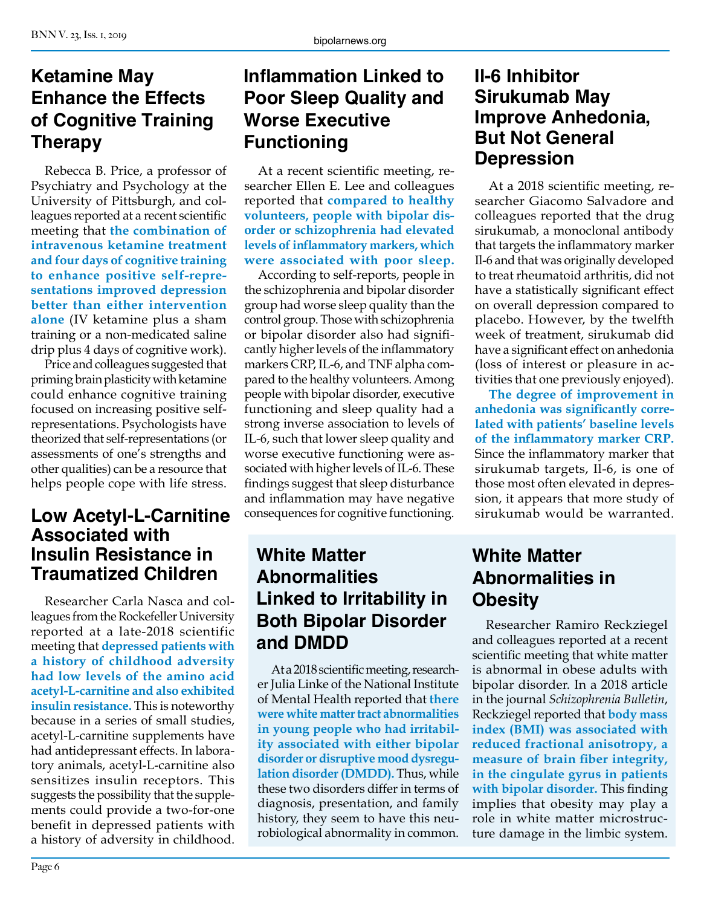## **Ketamine May Enhance the Effects of Cognitive Training Therapy**

Rebecca B. Price, a professor of Psychiatry and Psychology at the University of Pittsburgh, and colleagues reported at a recent scientific meeting that **the combination of intravenous ketamine treatment and four days of cognitive training to enhance positive self-representations improved depression better than either intervention alone** (IV ketamine plus a sham training or a non-medicated saline drip plus 4 days of cognitive work).

Price and colleagues suggested that priming brain plasticity with ketamine could enhance cognitive training focused on increasing positive selfrepresentations. Psychologists have theorized that self-representations (or assessments of one's strengths and other qualities) can be a resource that helps people cope with life stress.

# **Associated with Insulin Resistance in Traumatized Children**

Researcher Carla Nasca and colleagues from the Rockefeller University reported at a late-2018 scientific meeting that **depressed patients with a history of childhood adversity had low levels of the amino acid acetyl-L-carnitine and also exhibited insulin resistance.** This is noteworthy because in a series of small studies, acetyl-L-carnitine supplements have had antidepressant effects. In laboratory animals, acetyl-L-carnitine also sensitizes insulin receptors. This suggests the possibility that the supplements could provide a two-for-one benefit in depressed patients with a history of adversity in childhood.

# **Inflammation Linked to Poor Sleep Quality and Worse Executive Functioning**

At a recent scientific meeting, researcher Ellen E. Lee and colleagues reported that **compared to healthy volunteers, people with bipolar disorder or schizophrenia had elevated levels of inflammatory markers, which were associated with poor sleep.** 

Low Acetyl-L-Carnitine consequences for cognitive functioning. sirukumab would be warranted. According to self-reports, people in the schizophrenia and bipolar disorder group had worse sleep quality than the control group. Those with schizophrenia or bipolar disorder also had significantly higher levels of the inflammatory markers CRP, IL-6, and TNF alpha compared to the healthy volunteers. Among people with bipolar disorder, executive functioning and sleep quality had a strong inverse association to levels of IL-6, such that lower sleep quality and worse executive functioning were associated with higher levels of IL-6. These findings suggest that sleep disturbance and inflammation may have negative consequences for cognitive functioning.

## **White Matter Abnormalities Linked to Irritability in Both Bipolar Disorder and DMDD**

At a 2018 scientific meeting, researcher Julia Linke of the National Institute of Mental Health reported that **there were white matter tract abnormalities in young people who had irritability associated with either bipolar disorder or disruptive mood dysregulation disorder (DMDD).** Thus, while these two disorders differ in terms of diagnosis, presentation, and family history, they seem to have this neurobiological abnormality in common.

### **Il-6 Inhibitor Sirukumab May Improve Anhedonia, But Not General Depression**

At a 2018 scientific meeting, researcher Giacomo Salvadore and colleagues reported that the drug sirukumab, a monoclonal antibody that targets the inflammatory marker Il-6 and that was originally developed to treat rheumatoid arthritis, did not have a statistically significant effect on overall depression compared to placebo. However, by the twelfth week of treatment, sirukumab did have a significant effect on anhedonia (loss of interest or pleasure in activities that one previously enjoyed).

**The degree of improvement in anhedonia was significantly correlated with patients' baseline levels of the inflammatory marker CRP.**  Since the inflammatory marker that sirukumab targets, Il-6, is one of those most often elevated in depression, it appears that more study of

# **White Matter Abnormalities in Obesity**

Researcher Ramiro Reckziegel and colleagues reported at a recent scientific meeting that white matter is abnormal in obese adults with bipolar disorder. In a 2018 article in the journal *Schizophrenia Bulletin*, Reckziegel reported that **body mass index (BMI) was associated with reduced fractional anisotropy, a measure of brain fiber integrity, in the cingulate gyrus in patients with bipolar disorder.** This finding implies that obesity may play a role in white matter microstructure damage in the limbic system.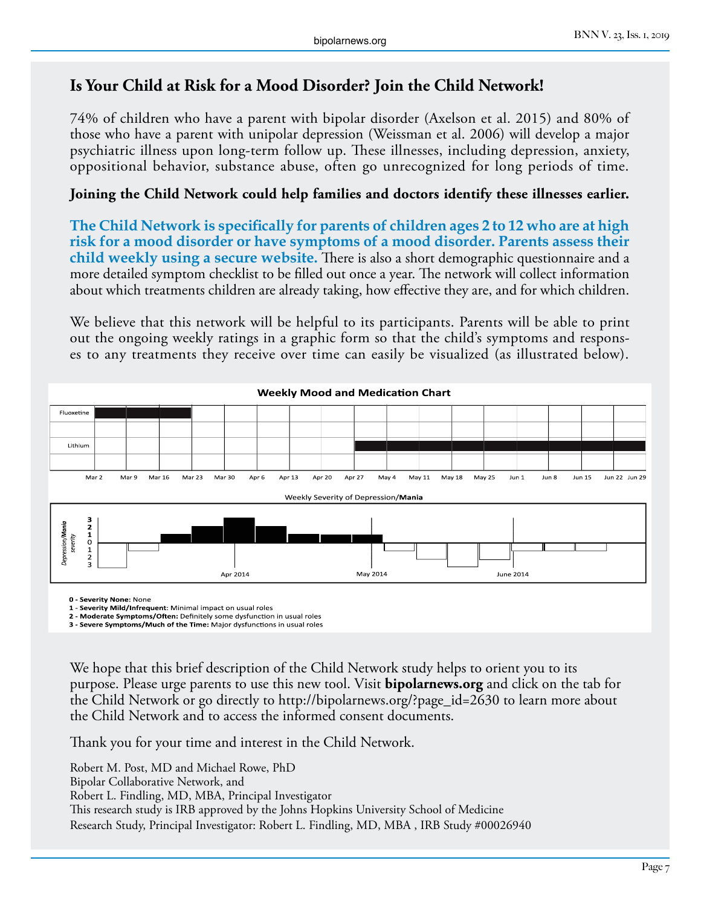#### **Is Your Child at Risk for a Mood Disorder? Join the Child Network!**

74% of children who have a parent with bipolar disorder (Axelson et al. 2015) and 80% of those who have a parent with unipolar depression (Weissman et al. 2006) will develop a major psychiatric illness upon long-term follow up. These illnesses, including depression, anxiety, oppositional behavior, substance abuse, often go unrecognized for long periods of time.

#### **Joining the Child Network could help families and doctors identify these illnesses earlier.**

**The Child Network is specifically for parents of children ages 2 to 12 who are at high risk for a mood disorder or have symptoms of a mood disorder. Parents assess their child weekly using a secure website.** There is also a short demographic questionnaire and a more detailed symptom checklist to be filled out once a year. The network will collect information about which treatments children are already taking, how effective they are, and for which children.

We believe that this network will be helpful to its participants. Parents will be able to print out the ongoing weekly ratings in a graphic form so that the child's symptoms and responses to any treatments they receive over time can easily be visualized (as illustrated below).



**0 - Severity None:** None

**1 - Severity Mild/Infrequent**: Minimal impact on usual roles

**2 - Moderate Symptoms/Often:** Definitely some dysfunction in usual roles **3 - Severe Symptoms/Much of the Time:** Major dysfunctions in usual roles

We hope that this brief description of the Child Network study helps to orient you to its purpose. Please urge parents to use this new tool. Visit **bipolarnews.org** and click on the tab for the Child Network or go directly to http://bipolarnews.org/?page\_id=2630 to learn more about the Child Network and to access the informed consent documents.

Thank you for your time and interest in the Child Network.

Robert M. Post, MD and Michael Rowe, PhD Bipolar Collaborative Network, and Robert L. Findling, MD, MBA, Principal Investigator This research study is IRB approved by the Johns Hopkins University School of Medicine Research Study, Principal Investigator: Robert L. Findling, MD, MBA , IRB Study #00026940